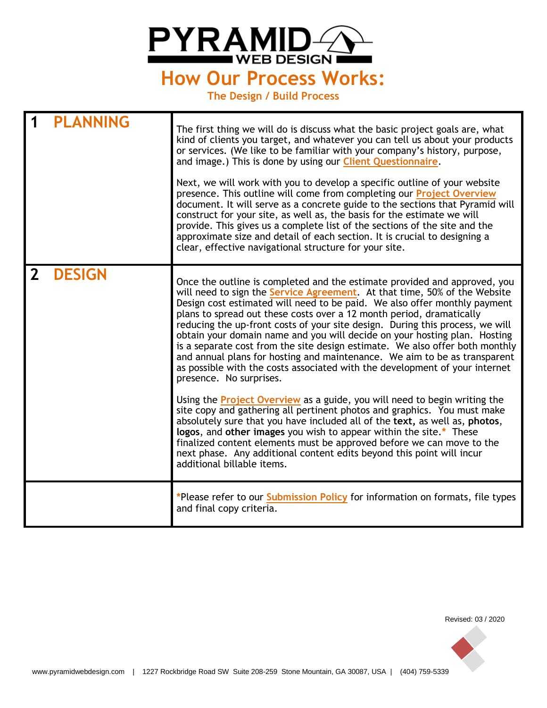

**The Design / Build Process**

|              | <b>PLANNING</b> | The first thing we will do is discuss what the basic project goals are, what<br>kind of clients you target, and whatever you can tell us about your products<br>or services. (We like to be familiar with your company's history, purpose,<br>and image.) This is done by using our Client Questionnaire.<br>Next, we will work with you to develop a specific outline of your website<br>presence. This outline will come from completing our Project Overview<br>document. It will serve as a concrete guide to the sections that Pyramid will<br>construct for your site, as well as, the basis for the estimate we will<br>provide. This gives us a complete list of the sections of the site and the<br>approximate size and detail of each section. It is crucial to designing a<br>clear, effective navigational structure for your site.                                                                                                                                                                                                                                                                                                                                                                                                              |
|--------------|-----------------|---------------------------------------------------------------------------------------------------------------------------------------------------------------------------------------------------------------------------------------------------------------------------------------------------------------------------------------------------------------------------------------------------------------------------------------------------------------------------------------------------------------------------------------------------------------------------------------------------------------------------------------------------------------------------------------------------------------------------------------------------------------------------------------------------------------------------------------------------------------------------------------------------------------------------------------------------------------------------------------------------------------------------------------------------------------------------------------------------------------------------------------------------------------------------------------------------------------------------------------------------------------|
| $\mathbf{Z}$ | <b>DESIGN</b>   | Once the outline is completed and the estimate provided and approved, you<br>will need to sign the <b>Service Agreement</b> . At that time, 50% of the Website<br>Design cost estimated will need to be paid. We also offer monthly payment<br>plans to spread out these costs over a 12 month period, dramatically<br>reducing the up-front costs of your site design. During this process, we will<br>obtain your domain name and you will decide on your hosting plan. Hosting<br>is a separate cost from the site design estimate. We also offer both monthly<br>and annual plans for hosting and maintenance. We aim to be as transparent<br>as possible with the costs associated with the development of your internet<br>presence. No surprises.<br>Using the <b>Project Overview</b> as a guide, you will need to begin writing the<br>site copy and gathering all pertinent photos and graphics. You must make<br>absolutely sure that you have included all of the text, as well as, photos,<br>logos, and other images you wish to appear within the site.* These<br>finalized content elements must be approved before we can move to the<br>next phase. Any additional content edits beyond this point will incur<br>additional billable items. |
|              |                 | *Please refer to our <b>Submission Policy</b> for information on formats, file types<br>and final copy criteria.                                                                                                                                                                                                                                                                                                                                                                                                                                                                                                                                                                                                                                                                                                                                                                                                                                                                                                                                                                                                                                                                                                                                              |

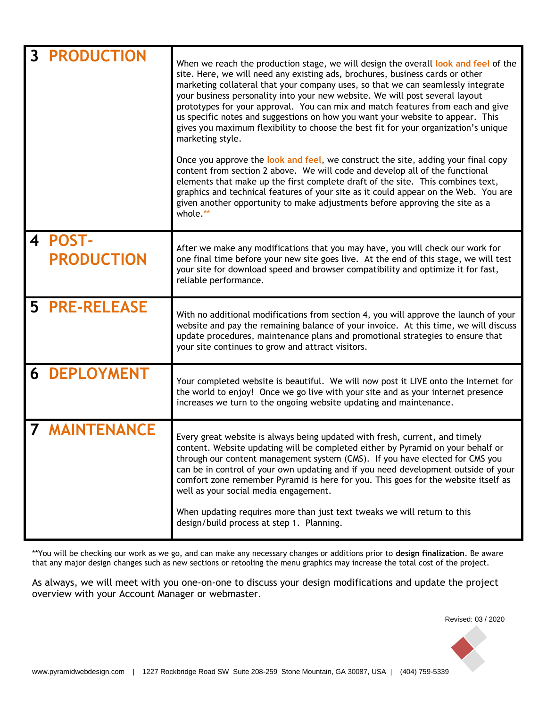| $\mathbf{3}$            | <b>PRODUCTION</b>                 | When we reach the production stage, we will design the overall look and feel of the<br>site. Here, we will need any existing ads, brochures, business cards or other<br>marketing collateral that your company uses, so that we can seamlessly integrate<br>your business personality into your new website. We will post several layout<br>prototypes for your approval. You can mix and match features from each and give<br>us specific notes and suggestions on how you want your website to appear. This<br>gives you maximum flexibility to choose the best fit for your organization's unique<br>marketing style.<br>Once you approve the look and feel, we construct the site, adding your final copy<br>content from section 2 above. We will code and develop all of the functional<br>elements that make up the first complete draft of the site. This combines text,<br>graphics and technical features of your site as it could appear on the Web. You are<br>given another opportunity to make adjustments before approving the site as a<br>whole.** |
|-------------------------|-----------------------------------|---------------------------------------------------------------------------------------------------------------------------------------------------------------------------------------------------------------------------------------------------------------------------------------------------------------------------------------------------------------------------------------------------------------------------------------------------------------------------------------------------------------------------------------------------------------------------------------------------------------------------------------------------------------------------------------------------------------------------------------------------------------------------------------------------------------------------------------------------------------------------------------------------------------------------------------------------------------------------------------------------------------------------------------------------------------------|
| $\overline{\mathbf{4}}$ | <b>POST-</b><br><b>PRODUCTION</b> | After we make any modifications that you may have, you will check our work for<br>one final time before your new site goes live. At the end of this stage, we will test<br>your site for download speed and browser compatibility and optimize it for fast,<br>reliable performance.                                                                                                                                                                                                                                                                                                                                                                                                                                                                                                                                                                                                                                                                                                                                                                                |
| 5                       | <b>PRE-RELEASE</b>                | With no additional modifications from section 4, you will approve the launch of your<br>website and pay the remaining balance of your invoice. At this time, we will discuss<br>update procedures, maintenance plans and promotional strategies to ensure that<br>your site continues to grow and attract visitors.                                                                                                                                                                                                                                                                                                                                                                                                                                                                                                                                                                                                                                                                                                                                                 |
|                         | <b>6 DEPLOYMENT</b>               | Your completed website is beautiful. We will now post it LIVE onto the Internet for<br>the world to enjoy! Once we go live with your site and as your internet presence<br>increases we turn to the ongoing website updating and maintenance.                                                                                                                                                                                                                                                                                                                                                                                                                                                                                                                                                                                                                                                                                                                                                                                                                       |
|                         | <b>MAINTENANCE</b>                | Every great website is always being updated with fresh, current, and timely<br>content. Website updating will be completed either by Pyramid on your behalf or<br>through our content management system (CMS). If you have elected for CMS you<br>can be in control of your own updating and if you need development outside of your<br>comfort zone remember Pyramid is here for you. This goes for the website itself as<br>well as your social media engagement.<br>When updating requires more than just text tweaks we will return to this<br>design/build process at step 1. Planning.                                                                                                                                                                                                                                                                                                                                                                                                                                                                        |

\*\*You will be checking our work as we go, and can make any necessary changes or additions prior to **design finalization**. Be aware that any major design changes such as new sections or retooling the menu graphics may increase the total cost of the project.

As always, we will meet with you one-on-one to discuss your design modifications and update the project overview with your Account Manager or webmaster.

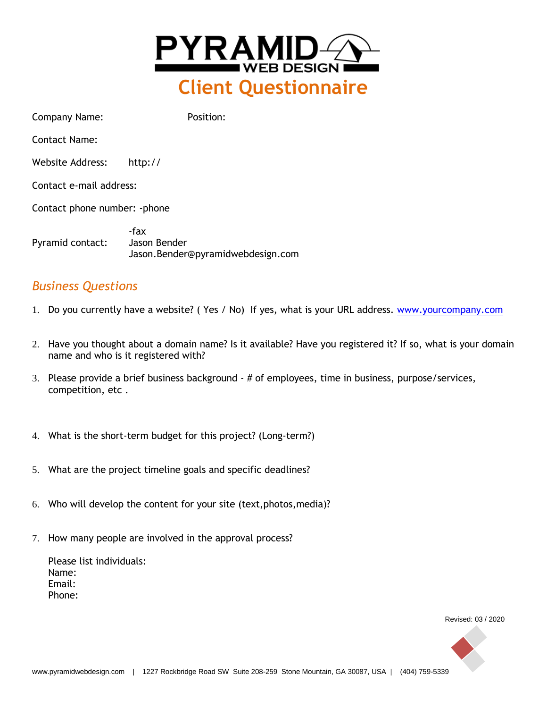

Company Name: Position: Contact Name: Website Address: http:// Contact e-mail address: Contact phone number: -phone -fax Pyramid contact: Jason Bender Jason.Bender@pyramidwebdesign.com

# *Business Questions*

- 1. Do you currently have a website? ( Yes / No) If yes, what is your URL address. [www.yourcompany.com](http://www.yourcompany.com/)
- 2. Have you thought about a domain name? Is it available? Have you registered it? If so, what is your domain name and who is it registered with?
- 3. Please provide a brief business background # of employees, time in business, purpose/services, competition, etc .
- 4. What is the short-term budget for this project? (Long-term?)
- 5. What are the project timeline goals and specific deadlines?
- 6. Who will develop the content for your site (text,photos,media)?
- 7. How many people are involved in the approval process?

Please list individuals: Name: Email: Phone:

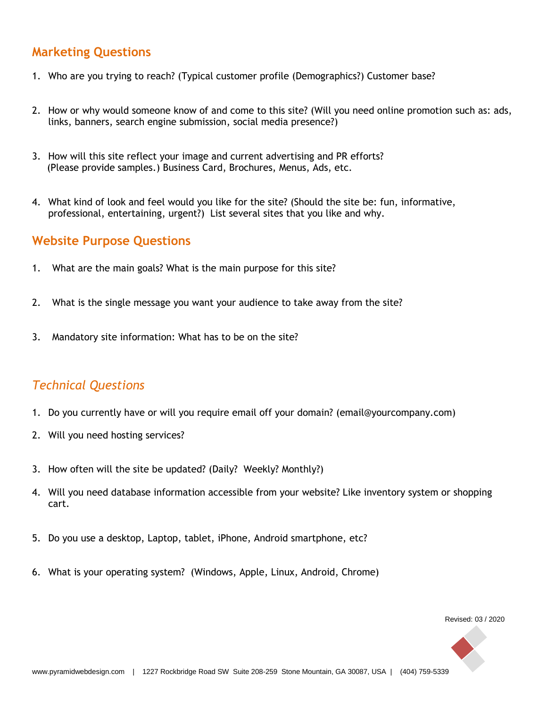# **Marketing Questions**

- 1. Who are you trying to reach? (Typical customer profile (Demographics?) Customer base?
- 2. How or why would someone know of and come to this site? (Will you need online promotion such as: ads, links, banners, search engine submission, social media presence?)
- 3. How will this site reflect your image and current advertising and PR efforts? (Please provide samples.) Business Card, Brochures, Menus, Ads, etc.
- 4. What kind of look and feel would you like for the site? (Should the site be: fun, informative, professional, entertaining, urgent?) List several sites that you like and why.

### **Website Purpose Questions**

- 1. What are the main goals? What is the main purpose for this site?
- 2. What is the single message you want your audience to take away from the site?
- 3. Mandatory site information: What has to be on the site?

# *Technical Questions*

- 1. Do you currently have or will you require email off your domain? (email@yourcompany.com)
- 2. Will you need hosting services?
- 3. How often will the site be updated? (Daily? Weekly? Monthly?)
- 4. Will you need database information accessible from your website? Like inventory system or shopping cart.
- 5. Do you use a desktop, Laptop, tablet, iPhone, Android smartphone, etc?
- 6. What is your operating system? (Windows, Apple, Linux, Android, Chrome)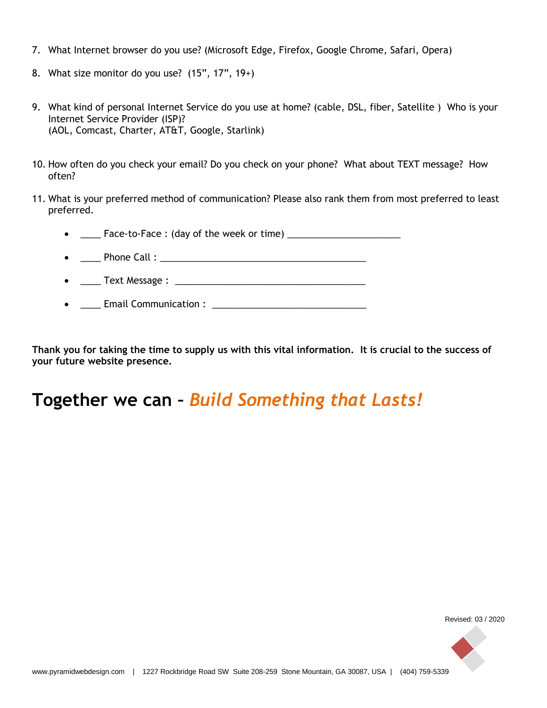- 7. What Internet browser do you use? (Microsoft Edge, Firefox, Google Chrome, Safari, Opera)
- 8. What size monitor do you use?  $(15", 17", 19+)$
- 9. What kind of personal Internet Service do you use at home? (cable, DSL, fiber, Satellite ) Who is your Internet Service Provider (ISP)? (AOL, Comcast, Charter, AT&T, Google, Starlink)
- 10. How often do you check your email? Do you check on your phone? What about TEXT message? How often?
- 11. What is your preferred method of communication? Please also rank them from most preferred to least preferred.

•  $\fbox{---}$  Face-to-Face : (day of the week or time)  $\fbox{---}$  \_\_\_\_\_\_\_\_\_\_\_\_\_\_\_\_\_\_\_

- \_\_\_\_ Phone Call : \_\_\_\_\_\_\_\_\_\_\_\_\_\_\_\_\_\_\_\_\_\_\_\_\_\_\_\_\_\_\_\_\_\_\_\_\_\_\_\_
- \_\_\_\_ Text Message : \_\_\_\_\_\_\_\_\_\_\_\_\_\_\_\_\_\_\_\_\_\_\_\_\_\_\_\_\_\_\_\_\_\_\_\_\_
- \_\_\_\_ Email Communication : \_\_\_\_\_\_\_\_\_\_\_\_\_\_\_\_\_\_\_\_\_\_\_\_\_\_\_\_\_\_

**Thank you for taking the time to supply us with this vital information. It is crucial to the success of your future website presence.**

# **Together we can –** *Build Something that Lasts!*

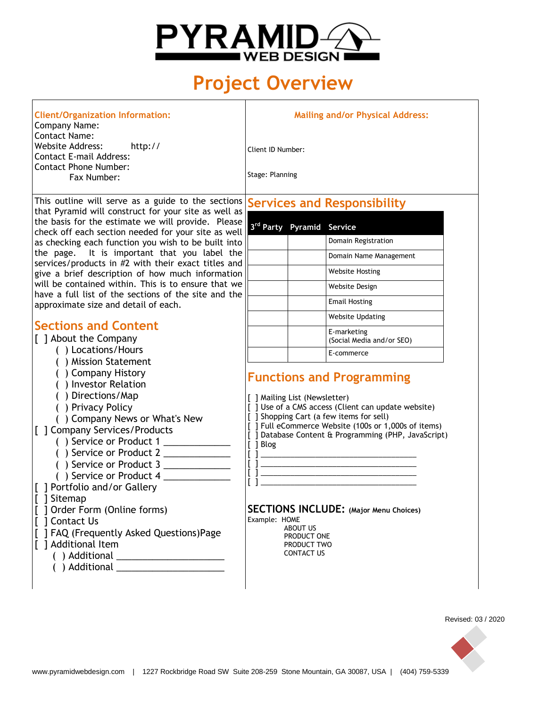

# **Project Overview**

| <b>Client/Organization Information:</b><br>Company Name:                                                               | <b>Mailing an</b>                    |
|------------------------------------------------------------------------------------------------------------------------|--------------------------------------|
| <b>Contact Name:</b><br>Website Address:<br>http://<br>Contact E-mail Address:<br>Contact Phone Number:<br>Fax Number: | Client ID Number:<br>Stage: Planning |
|                                                                                                                        |                                      |

This outline will serve as a guide to the sections **Services and Responsibility** that Pyramid will construct for your site as well as the basis for the estimate we will provide. Please check off each section needed for your site as well **3** as checking each function you wish to be built into the page. It is important that you label the services/products in #2 with their exact titles and give a brief description of how much information will be contained within. This is to ensure that we have a full list of the sections of the site and the  $\parallel$ approximate size and detail of each.

# **Sections and Content**

- [ ] About the Company
	- ( ) Locations/Hours
	- ( ) Mission Statement
	- ( ) Company History
	- ( ) Investor Relation
	- ( ) Directions/Map
	- ( ) Privacy Policy
	- ( ) Company News or What's New
- [ ] Company Services/Products
	- ( ) Service or Product 1 \_\_\_\_\_\_\_\_\_\_\_\_\_
	- () Service or Product 2
	- $( )$  Service or Product 3
	- () Service or Product 4
- [ ] Portfolio and/or Gallery
- [ ] Sitemap
- [ ] Order Form (Online forms)
- [ ] Contact Us
- [ ] FAQ (Frequently Asked Questions)Page
- [ ] Additional Item
	- ( ) Additional \_\_\_\_\_\_\_\_\_\_\_\_\_\_\_\_\_\_\_\_\_
		- ( ) Additional **Additional**

### **Mailing and/or Physical Address:**

| 3 <sup>rd</sup> Party Pyramid Service |                                          |
|---------------------------------------|------------------------------------------|
|                                       | Domain Registration                      |
|                                       | Domain Name Management                   |
|                                       | <b>Website Hosting</b>                   |
|                                       | Website Design                           |
|                                       | <b>Email Hosting</b>                     |
|                                       | Website Updating                         |
|                                       | E-marketing<br>(Social Media and/or SEO) |
|                                       | E-commerce                               |

# **Functions and Programming**

[ ] Mailing List (Newsletter)

- [ ] Use of a CMS access (Client can update website)
- [ ] Shopping Cart (a few items for sell)
- [ ] Full eCommerce Website (100s or 1,000s of items) [ ] Database Content & Programming (PHP, JavaScript)
- [ ] Blog

#### **SECTIONS INCLUDE: (Major Menu Choices)** Example: HOME

[ ] \_\_\_\_\_\_\_\_\_\_\_\_\_\_\_\_\_\_\_\_\_\_\_\_\_\_\_\_\_\_\_\_\_\_\_\_\_ [ ] \_\_\_\_\_\_\_\_\_\_\_\_\_\_\_\_\_\_\_\_\_\_\_\_\_\_\_\_\_\_\_\_\_\_\_\_\_ [ ] \_\_\_\_\_\_\_\_\_\_\_\_\_\_\_\_\_\_\_\_\_\_\_\_\_\_\_\_\_\_\_\_\_\_\_\_\_ [ ] \_\_\_\_\_\_\_\_\_\_\_\_\_\_\_\_\_\_\_\_\_\_\_\_\_\_\_\_\_\_\_\_\_\_\_\_\_

 ABOUT US PRODUCT ONE PRODUCT TWO CONTACT US

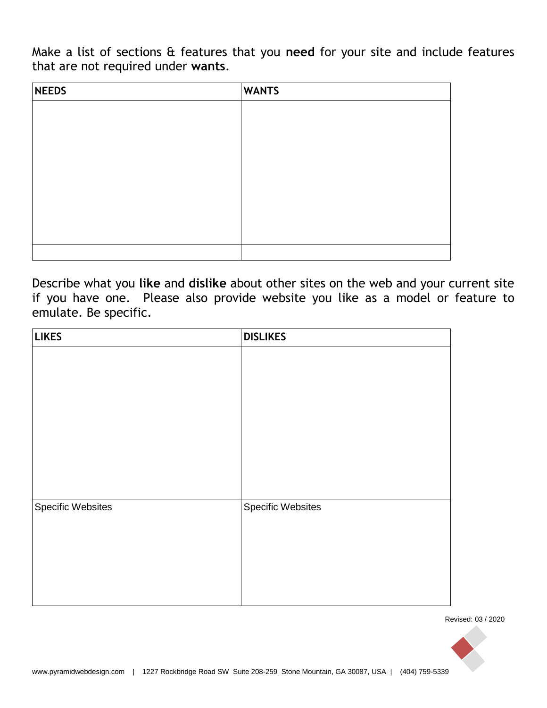Make a list of sections & features that you **need** for your site and include features that are not required under **wants**.

| <b>NEEDS</b> | <b>WANTS</b> |
|--------------|--------------|
|              |              |
|              |              |
|              |              |
|              |              |
|              |              |
|              |              |
|              |              |
|              |              |
|              |              |

Describe what you **like** and **dislike** about other sites on the web and your current site if you have one. Please also provide website you like as a model or feature to emulate. Be specific.

| <b>LIKES</b>             | <b>DISLIKES</b>          |
|--------------------------|--------------------------|
|                          |                          |
|                          |                          |
|                          |                          |
|                          |                          |
|                          |                          |
|                          |                          |
|                          |                          |
|                          |                          |
|                          |                          |
| <b>Specific Websites</b> | <b>Specific Websites</b> |
|                          |                          |
|                          |                          |
|                          |                          |
|                          |                          |
|                          |                          |